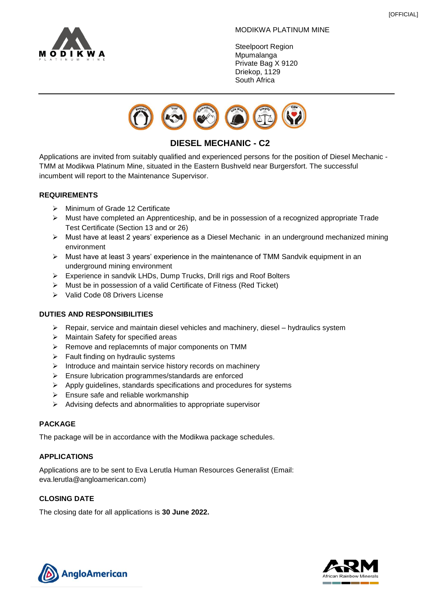

#### MODIKWA PLATINUM MINE

Steelpoort Region **Mpumalanga** Private Bag X 9120 Driekop, 1129 South Africa



# **DIESEL MECHANIC - C2**

Applications are invited from suitably qualified and experienced persons for the position of Diesel Mechanic - TMM at Modikwa Platinum Mine, situated in the Eastern Bushveld near Burgersfort. The successful incumbent will report to the Maintenance Supervisor.

#### **REQUIREMENTS**

- ➢ Minimum of Grade 12 Certificate
- ➢ Must have completed an Apprenticeship, and be in possession of a recognized appropriate Trade Test Certificate (Section 13 and or 26)
- ➢ Must have at least 2 years' experience as a Diesel Mechanic in an underground mechanized mining environment
- ➢ Must have at least 3 years' experience in the maintenance of TMM Sandvik equipment in an underground mining environment
- ➢ Experience in sandvik LHDs, Dump Trucks, Drill rigs and Roof Bolters
- ➢ Must be in possession of a valid Certificate of Fitness (Red Ticket)
- ➢ Valid Code 08 Drivers License

### **DUTIES AND RESPONSIBILITIES**

- $\triangleright$  Repair, service and maintain diesel vehicles and machinery, diesel hydraulics system
- ➢ Maintain Safety for specified areas
- ➢ Remove and replacemnts of major components on TMM
- ➢ Fault finding on hydraulic systems
- ➢ Introduce and maintain service history records on machinery
- ➢ Ensure lubrication programmes/standards are enforced
- ➢ Apply guidelines, standards specifications and procedures for systems
- ➢ Ensure safe and reliable workmanship
- ➢ Advising defects and abnormalities to appropriate supervisor

### **PACKAGE**

The package will be in accordance with the Modikwa package schedules.

### **APPLICATIONS**

Applications are to be sent to Eva Lerutla Human Resources Generalist (Email: eva.lerutla@angloamerican.com)

### **CLOSING DATE**

The closing date for all applications is **30 June 2022.**